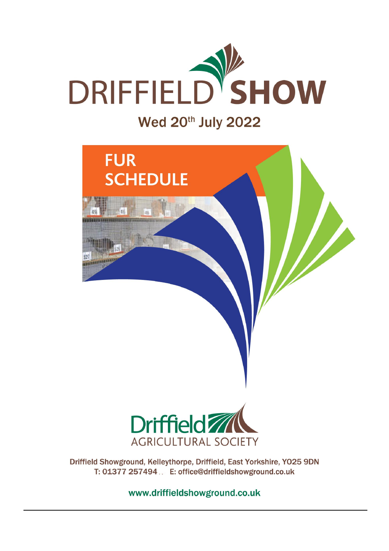

# **FUR SCHEDULE**



Driffield Showground, Kelleythorpe, Driffield, East Yorkshire, YO25 9DN T: 01377 257494 .. E: office@driffieldshowground.co.uk

www.driffieldshowground.co.uk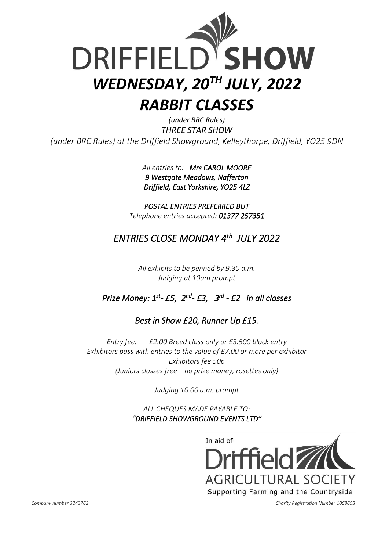

*(under BRC Rules) THREE STAR SHOW (under BRC Rules) at the Driffield Showground, Kelleythorpe, Driffield, YO25 9DN*

> *All entries to: Mrs CAROL MOORE 9 Westgate Meadows, Nafferton Driffield, East Yorkshire, YO25 4LZ*

*POSTAL ENTRIES PREFERRED BUT Telephone entries accepted: 01377 257351*

# *ENTRIES CLOSE MONDAY 4 th JULY 2022*

*All exhibits to be penned by 9.30 a.m. Judging at 10am prompt* 

## *Prize Money: 1st - £5, 2 nd - £3, 3 rd - £2 in all classes*

#### *Best in Show £20, Runner Up £15.*

*Entry fee: £2.00 Breed class only or £3.500 block entry Exhibitors pass with entries to the value of £7.00 or more per exhibitor Exhibitors fee 50p (Juniors classes free – no prize money, rosettes only)*

*Judging 10.00 a.m. prompt*

*ALL CHEQUES MADE PAYABLE TO: "DRIFFIELD SHOWGROUND EVENTS LTD"* 



 *Company number 3243762 Charity Registration Number 1068658*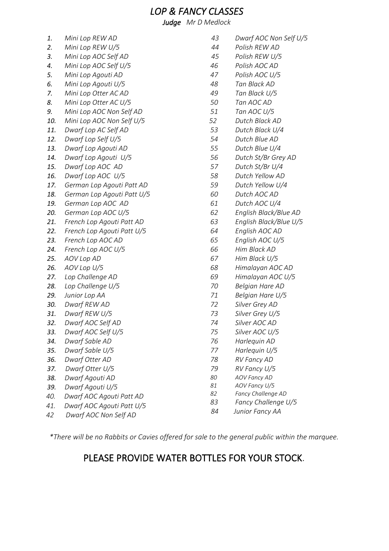#### *LOP & FANCY CLASSES*

*Judge Mr D Medlock*

- *1. Mini Lop REW AD*
- *2. Mini Lop REW U/5*
- *3. Mini Lop AOC Self AD*
- *4. Mini Lop AOC Self U/5*
- *5. Mini Lop Agouti AD*
- *6. Mini Lop Agouti U/5*
- *7. Mini Lop Otter AC AD*
- *8. Mini Lop Otter AC U/5*
- *9. Mini Lop AOC Non Self AD*
- *10. Mini Lop AOC Non Self U/5*
- *11. Dwarf Lop AC Self AD*
- *12. Dwarf Lop Self U/5*
- *13. Dwarf Lop Agouti AD*
- *14. Dwarf Lop Agouti U/5*
- *15. Dwarf Lop AOC AD*
- *16. Dwarf Lop AOC U/5*
- *17. German Lop Agouti Patt AD*
- *18. German Lop Agouti Patt U/5*
- *19. German Lop AOC AD*
- *20. German Lop AOC U/5*
- *21. French Lop Agouti Patt AD*
- *22. French Lop Agouti Patt U/5*
- *23. French Lop AOC AD*
- *24. French Lop AOC U/5*
- *25. AOV Lop AD*
- *26. AOV Lop U/5*
- *27. Lop Challenge AD*
- *28. Lop Challenge U/5*
- *29. Junior Lop AA*
- *30. Dwarf REW AD*
- *31. Dwarf REW U/5*
- *32. Dwarf AOC Self AD*
- *33. Dwarf AOC Self U/5*
- *34. Dwarf Sable AD*
- *35. Dwarf Sable U/5*
- *36. Dwarf Otter AD*
- *37. Dwarf Otter U/5*
- *38. Dwarf Agouti AD*
- *39. Dwarf Agouti U/5*
- *40. Dwarf AOC Agouti Patt AD*
- *41. Dwarf AOC Agouti Patt U/5*
- *42 Dwarf AOC Non Self AD*
- *43 Dwarf AOC Non Self U/5*
- *44 Polish REW AD*
- *45 Polish REW U/5*
- *46 Polish AOC AD*
- *47 Polish AOC U/5*
- *48 Tan Black AD*
- *49 Tan Black U/5*
- *50 Tan AOC AD*
- *51 Tan AOC U/5*
- *52 Dutch Black AD*
- *53 Dutch Black U/4*
- *54 Dutch Blue AD*
- *55 Dutch Blue U/4*
- *56 Dutch St/Br Grey AD*
- *57 Dutch St/Br U/4*
- *58 Dutch Yellow AD*
- *59 Dutch Yellow U/4*
- *60 Dutch AOC AD*
- *61 Dutch AOC U/4*
- *62 English Black/Blue AD*
- *63 English Black/Blue U/5*
- *64 English AOC AD*
- *65 English AOC U/5*
- *66 Him Black AD*
- *67 Him Black U/5*
- *68 Himalayan AOC AD*
- *69 Himalayan AOC U/5*
- *70 Belgian Hare AD*
- *71 Belgian Hare U/5*
- *72 Silver Grey AD*
- *73 Silver Grey U/5*
- *74 Silver AOC AD*
- *75 Silver AOC U/5*
- *76 Harlequin AD*
- *77 Harlequin U/5*
- *78 RV Fancy AD*
- *79 RV Fancy U/5*
- *80 AOV Fancy AD*
- *81 AOV Fancy U/5*
- *82 Fancy Challenge AD*
- *83 Fancy Challenge U/5*
- *84 Junior Fancy AA*

*\*There will be no Rabbits or Cavies offered for sale to the general public within the marquee.*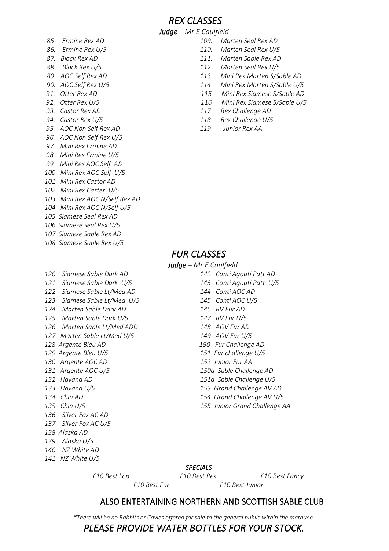*REX CLASSES*

*Judge – Mr E Caulfield*

- *85 Ermine Rex AD 109. Marten Seal Rex AD*
- 
- 
- 
- 
- 
- 
- 
- 
- 
- *96. AOC Non Self Rex U/5*
- *97. Mini Rex Ermine AD*
- *98 Mini Rex Ermine U/5*
- *99 Mini Rex AOC Self AD*
- *100 Mini Rex AOC Self U/5*
- *101 Mini Rex Castor AD*
- *102 Mini Rex Caster U/5*
- *103 Mini Rex AOC N/Self Rex AD*
- *104 Mini Rex AOC N/Self U/5*
- *105 Siamese Seal Rex AD*
- *106 Siamese Seal Rex U/5*
- *107 Siamese Sable Rex AD 108 Siamese Sable Rex U/5*
- 
- *120 Siamese Sable Dark AD 142 Conti Agouti Patt AD*
- 
- *122 Siamese Sable Lt/Med AD 144 Conti AOC AD*
- *123 Siamese Sable Lt/Med U/5 145 Conti AOC U/5*
- *124 Marten Sable Dark AD 146 RV Fur AD*
- *125 Marten Sable Dark U/5 147 RV Fur U/5*
- *126 Marten Sable Lt/Med ADD 148 AOV Fur AD*
- *127 Marten Sable Lt/Med U/5 149 AOV Fur U/5*
- *128 Argente Bleu AD 150 Fur Challenge AD*
- *129 Argente Bleu U/5 151 Fur challenge U/5*
- *130 Argente AOC AD 152 Junior Fur AA*
- 
- 
- 
- 
- *136 Silver Fox AC AD*
- *137 Silver Fox AC U/5*
- *138 Alaska AD*
- *139 Alaska U/5*
- *140 NZ White AD 141 NZ White U/5*
- *86. Ermine Rex U/5 110. Marten Seal Rex U/5*
- *87. Black Rex AD 111. Marten Sable Rex AD*
- *88. Black Rex U/5 112. Marten Seal Rex U/5*
- *89. AOC Self Rex AD 113 Mini Rex Marten S/Sable AD*
- *90. AOC Self Rex U/5 114 Mini Rex Marten S/Sable U/5*
- *91. Otter Rex AD 115 Mini Rex Siamese S/Sable AD*
- *92. Otter Rex U/5 116 Mini Rex Siamese S/Sable U/5*
- *93. Castor Rex AD 117 Rex Challenge AD*
- *94. Castor Rex U/5 118 Rex Challenge U/5*
- *95. AOC Non Self Rex AD 119 Junior Rex AA*

#### *FUR CLASSES*

*Judge – Mr E Caulfield*

- *121 Siamese Sable Dark U/5 143 Conti Agouti Patt U/5*
	-
	-
	-
- *131 Argente AOC U/5 150a Sable Challenge AD*
- *132 Havana AD 151a Sable Challenge U/5*
- *133 Havana U/5 153 Grand Challenge AV AD*
- *134 Chin AD 154 Grand Challenge AV U/5*
- *135 Chin U/5 155 Junior Grand Challenge AA*

#### *SPECIALS*

 *£10 Best Lop £10 Best Rex £10 Best Fancy* 

 *£10 Best Fur £10 Best Junior*

#### ALSO ENTERTAINING NORTHERN AND SCOTTISH SABLE CLUB

*\*There will be no Rabbits or Cavies offered for sale to the general public within the marquee.*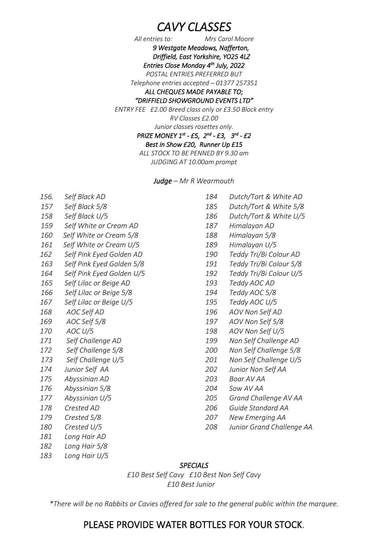# *CAVY CLASSES*

*All entries to: Mrs Carol Moore 9 Westgate Meadows, Nafferton, Driffield, East Yorkshire, YO25 4LZ Entries Close Monday 4 th July, 2022* 

*POSTAL ENTRIES PREFERRED BUT*

*Telephone entries accepted – 01377 257351* 

#### *ALL CHEQUES MADE PAYABLE TO; "DRIFFIELD SHOWGROUND EVENTS LTD"*

*ENTRY FEE £2.00 Breed class only or £3.50 Block entry*

*RV Classes £2.00*

*Junior classes rosettes only.* 

*PRIZE MONEY 1st - £5, 2 nd - £3, 3 rd - £2* 

*Best in Show £20, Runner Up £15* 

*ALL STOCK TO BE PENNED BY 9.30 am JUDGING AT 10.00am prompt*

#### *Judge – Mr R Wearmouth*

| 156.       | Self Black AD             |
|------------|---------------------------|
| 157        | Self Black 5/8            |
| 158        | Self Black U/5            |
| 159        | Self White or Cream AD    |
| <i>160</i> | Self White or Cream 5/8   |
| 161        | Self White or Cream U/5   |
| 162        | Self Pink Eyed Golden AD  |
| 163        | Self Pink Eyed Golden 5/8 |
| 164        | Self Pink Eyed Golden U/5 |
| 165        | Self Lilac or Beige AD    |
| 166        | Self Lilac or Beige 5/8   |
| 167        | Self Lilac or Beige U/5   |
| 168        | <b>AOC Self AD</b>        |
| 169        | AOC Self 5/8              |
| 170        | AOC U/5                   |
| 171        | Self Challenge AD         |
| 172        | Self Challenge 5/8        |
| 173        | Self Challenge U/5        |
| 174        | Junior Self AA            |
| 175        | Abyssinian AD             |
| 176        | Abyssinian 5/8            |
| 177        | Abyssinian U/5            |
| 178        | Crested AD                |
| 179        | Crested 5/8               |
| <i>180</i> | Crested U/5               |
| 181        | Long Hair AD              |
| 182        | Long Hair 5/8             |
| 183        | Long Hair U/5             |

| 184        | Dutch/Tort & White AD     |
|------------|---------------------------|
| 185        | Dutch/Tort & White 5/8    |
| 186        | Dutch/Tort & White U/5    |
| 187        | Himalayan AD              |
| 188        | Himalayan 5/8             |
| 189        | Himalayan U/5             |
| <i>190</i> | Teddy Tri/Bi Colour AD    |
| 191        | Teddy Tri/Bi Colour 5/8   |
| 192        | Teddy Tri/Bi Colour U/5   |
| 193        | Teddy AOC AD              |
| 194        | Teddy AOC 5/8             |
| 195        | Teddy AOC U/5             |
| 196        | AOV Non Self AD           |
| 197        | AOV Non Self 5/8          |
| 198        | AOV Non Self U/5          |
| 199        | Non Self Challenge AD     |
| <i>200</i> | Non Self Challenge 5/8    |
| 201        | Non Self Challenge U/5    |
| 202        | Junior Non Self AA        |
| 203        | Boar AV AA                |
| 204        | Sow AV AA                 |
| 205        | Grand Challenge AV AA     |
| 206        | Guide Standard AA         |
| 207        | New Emerging AA           |
| 208        | Junior Grand Challenge AA |
|            |                           |
|            |                           |

#### *SPECIALS*

*£10 Best Self Cavy £10 Best Non Self Cavy £10 Best Junior*

*\*There will be no Rabbits or Cavies offered for sale to the general public within the marquee.*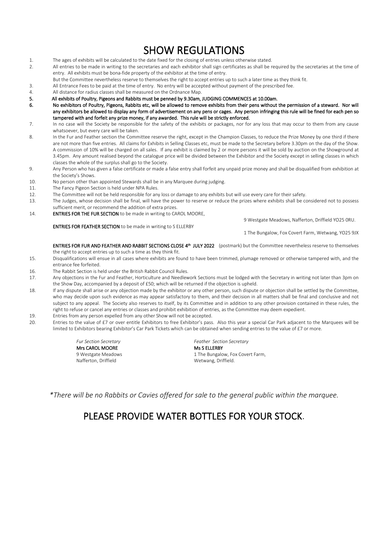# SHOW REGULATIONS

- 1. The ages of exhibits will be calculated to the date fixed for the closing of entries unless otherwise stated.<br>2. All entries to be made in writing to the secretaries and each exhibitor shall sign certificates as shall b
- All entries to be made in writing to the secretaries and each exhibitor shall sign certificates as shall be required by the secretaries at the time of entry. All exhibits must be bona-fide property of the exhibitor at the time of entry.
- But the Committee nevertheless reserve to themselves the right to accept entries up to such a later time as they think fit.
- 3. All Entrance Fees to be paid at the time of entry. No entry will be accepted without payment of the prescribed fee.
- 4. All distance for radius classes shall be measured on the Ordnance Map.
- 5. All exhibits of Poultry, Pigeons and Rabbits must be penned by 9.30am, JUDGING COMMENCES at 10.00am.
- No exhibitors of Poultry, Pigeons, Rabbits etc, will be allowed to remove exhibits from their pens without the permission of a steward. Nor will any exhibitors be allowed to display any form of advertisement on any pens or cages. Any person infringing this rule will be fined for each pen so tampered with and forfeit any prize money, if any awarded. This rule will be strictly enforced.
- 7. In no case will the Society be responsible for the safety of the exhibits or packages, nor for any loss that may occur to them from any cause whatsoever, but every care will be taken.
- 8. In the Fur and Feather section the Committee reserve the right, except in the Champion Classes, to reduce the Prize Money by one third if there are not more than five entries. All claims for Exhibits in Selling Classes etc, must be made to the Secretary before 3.30pm on the day of the Show. A commission of 10% will be charged on all sales. If any exhibit is claimed by 2 or more persons it will be sold by auction on the Showground at 3.45pm. Any amount realised beyond the catalogue price will be divided between the Exhibitor and the Society except in selling classes in which classes the whole of the surplus shall go to the Society.
- 9. Any Person who has given a false certificate or made a false entry shall forfeit any unpaid prize money and shall be disqualified from exhibition at the Society's Shows.
- 10. No person other than appointed Stewards shall be in any Marquee during judging.
- 11. The Fancy Pigeon Section is held under NPA Rules.
- 12. The Committee will not be held responsible for any loss or damage to any exhibits but will use every care for their safety.
- 13. The Judges, whose decision shall be final, will have the power to reserve or reduce the prizes where exhibits shall be considered not to possess sufficient merit, or recommend the addition of extra prizes.
- 14. ENTRIES FOR THE FUR SECTION to be made in writing to CAROL MOORE,

ENTRIES FOR FEATHER SECTION to be made in writing to S ELLERBY

9 Westgate Meadows, Nafferton, Driffield YO25 0RU.

1 The Bungalow, Fox Covert Farm, Wetwang, YO25 9JX

ENTRIES FOR FUR AND FEATHER AND RABBIT SECTIONS CLOSE 4<sup>th</sup> JULY 2022 (postmark) but the Committee nevertheless reserve to themselves the right to accept entries up to such a time as they think fit.

- 15. Disqualifications will ensue in all cases where exhibits are found to have been trimmed, plumage removed or otherwise tampered with, and the entrance fee forfeited.
- 16. The Rabbit Section is held under the British Rabbit Council Rules.<br>17 Any objections in the Fur and Feather Horticulture and Needlew
- Any objections in the Fur and Feather, Horticulture and Needlework Sections must be lodged with the Secretary in writing not later than 3pm on the Show Day, accompanied by a deposit of £50; which will be returned if the objection is upheld.
- 18. If any dispute shall arise or any objection made by the exhibitor or any other person, such dispute or objection shall be settled by the Committee, who may decide upon such evidence as may appear satisfactory to them, and their decision in all matters shall be final and conclusive and not subject to any appeal. The Society also reserves to itself, by its Committee and in addition to any other provision contained in these rules, the right to refuse or cancel any entries or classes and prohibit exhibition of entries, as the Committee may deem expedient.
- 19. Entries from any person expelled from any other Show will not be accepted.
- 20. Entries to the value of £7 or over entitle Exhibitors to free Exhibitor's pass. Also this year a special Car Park adjacent to the Marquees will be limited to Exhibitors bearing Exhibitor's Car Park Tickets which can be obtained when sending entries to the value of £7 or more.

Mrs CAROL MOORE

*Fur Section Secretary Feather Section Secretary* 9 Westgate Meadows **1 The Bungalow, Fox Covert Farm,**<br>
Nafferton, Driffield **Nation**Nafferton, Driffield **Nation Nation Nation Nation Nation Nation Wetwang**, Driffield. Wetwang, Driffield.

*\*There will be no Rabbits or Cavies offered for sale to the general public within the marquee.*